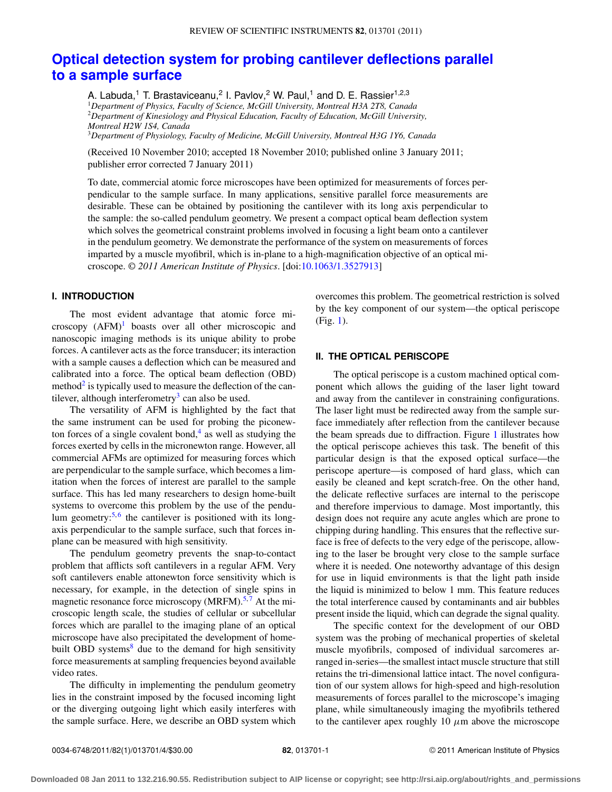# **[Optical detection system for probing cantilever deflections parallel](http://dx.doi.org/10.1063/1.3527913) [to a sample surface](http://dx.doi.org/10.1063/1.3527913)**

A. Labuda,<sup>1</sup> T. Brastaviceanu,<sup>2</sup> I. Pavlov,<sup>2</sup> W. Paul,<sup>1</sup> and D. E. Rassier<sup>1,2,3</sup> <sup>1</sup>*Department of Physics, Faculty of Science, McGill University, Montreal H3A 2T8, Canada* <sup>2</sup>*Department of Kinesiology and Physical Education, Faculty of Education, McGill University, Montreal H2W 1S4, Canada* <sup>3</sup>*Department of Physiology, Faculty of Medicine, McGill University, Montreal H3G 1Y6, Canada*

(Received 10 November 2010; accepted 18 November 2010; published online 3 January 2011; publisher error corrected 7 January 2011)

To date, commercial atomic force microscopes have been optimized for measurements of forces perpendicular to the sample surface. In many applications, sensitive parallel force measurements are desirable. These can be obtained by positioning the cantilever with its long axis perpendicular to the sample: the so-called pendulum geometry. We present a compact optical beam deflection system which solves the geometrical constraint problems involved in focusing a light beam onto a cantilever in the pendulum geometry. We demonstrate the performance of the system on measurements of forces imparted by a muscle myofibril, which is in-plane to a high-magnification objective of an optical microscope. *© 2011 American Institute of Physics*. [doi[:10.1063/1.3527913\]](http://dx.doi.org/10.1063/1.3527913)

## **I. INTRODUCTION**

The most evident advantage that atomic force microscopy  $(AFM)^1$  $(AFM)^1$  boasts over all other microscopic and nanoscopic imaging methods is its unique ability to probe forces. A cantilever acts as the force transducer; its interaction with a sample causes a deflection which can be measured and calibrated into a force. The optical beam deflection (OBD) method $2$  is typically used to measure the deflection of the cantilever, although interferometry<sup>3</sup> can also be used.

The versatility of AFM is highlighted by the fact that the same instrument can be used for probing the piconewton forces of a single covalent bond, $4$  as well as studying the forces exerted by cells in the micronewton range. However, all commercial AFMs are optimized for measuring forces which are perpendicular to the sample surface, which becomes a limitation when the forces of interest are parallel to the sample surface. This has led many researchers to design home-built systems to overcome this problem by the use of the pendulum geometry: $5.6$  $5.6$  the cantilever is positioned with its longaxis perpendicular to the sample surface, such that forces inplane can be measured with high sensitivity.

The pendulum geometry prevents the snap-to-contact problem that afflicts soft cantilevers in a regular AFM. Very soft cantilevers enable attonewton force sensitivity which is necessary, for example, in the detection of single spins in magnetic resonance force microscopy (MRFM). $5.7$  $5.7$  At the microscopic length scale, the studies of cellular or subcellular forces which are parallel to the imaging plane of an optical microscope have also precipitated the development of homebuilt OBD systems $8$  due to the demand for high sensitivity force measurements at sampling frequencies beyond available video rates.

The difficulty in implementing the pendulum geometry lies in the constraint imposed by the focused incoming light or the diverging outgoing light which easily interferes with the sample surface. Here, we describe an OBD system which overcomes this problem. The geometrical restriction is solved by the key component of our system—the optical periscope (Fig. [1\)](#page-1-0).

#### **II. THE OPTICAL PERISCOPE**

The optical periscope is a custom machined optical component which allows the guiding of the laser light toward and away from the cantilever in constraining configurations. The laser light must be redirected away from the sample surface immediately after reflection from the cantilever because the beam spreads due to diffraction. Figure [1](#page-1-0) illustrates how the optical periscope achieves this task. The benefit of this particular design is that the exposed optical surface—the periscope aperture—is composed of hard glass, which can easily be cleaned and kept scratch-free. On the other hand, the delicate reflective surfaces are internal to the periscope and therefore impervious to damage. Most importantly, this design does not require any acute angles which are prone to chipping during handling. This ensures that the reflective surface is free of defects to the very edge of the periscope, allowing to the laser be brought very close to the sample surface where it is needed. One noteworthy advantage of this design for use in liquid environments is that the light path inside the liquid is minimized to below 1 mm. This feature reduces the total interference caused by contaminants and air bubbles present inside the liquid, which can degrade the signal quality.

The specific context for the development of our OBD system was the probing of mechanical properties of skeletal muscle myofibrils, composed of individual sarcomeres arranged in-series—the smallest intact muscle structure that still retains the tri-dimensional lattice intact. The novel configuration of our system allows for high-speed and high-resolution measurements of forces parallel to the microscope's imaging plane, while simultaneously imaging the myofibrils tethered to the cantilever apex roughly 10  $\mu$ m above the microscope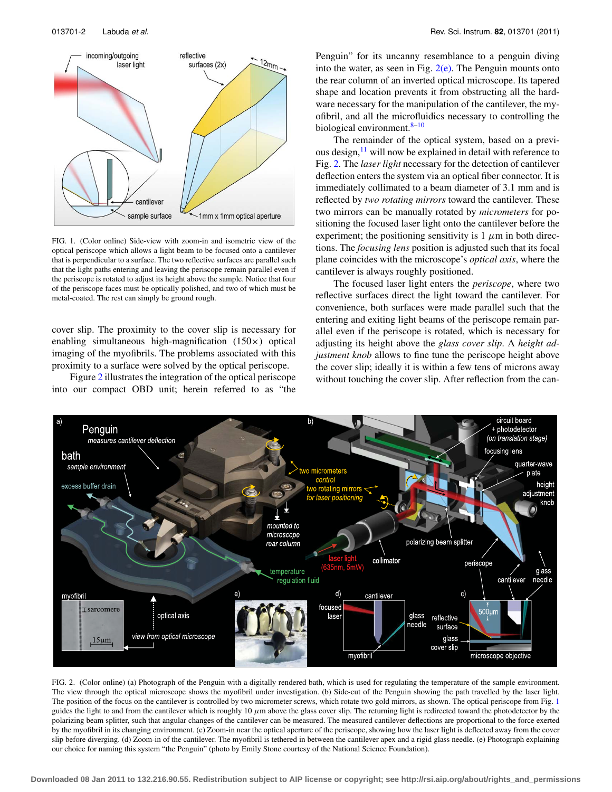<span id="page-1-0"></span>

FIG. 1. (Color online) Side-view with zoom-in and isometric view of the optical periscope which allows a light beam to be focused onto a cantilever that is perpendicular to a surface. The two reflective surfaces are parallel such that the light paths entering and leaving the periscope remain parallel even if the periscope is rotated to adjust its height above the sample. Notice that four of the periscope faces must be optically polished, and two of which must be metal-coated. The rest can simply be ground rough.

cover slip. The proximity to the cover slip is necessary for enabling simultaneous high-magnification (150×) optical imaging of the myofibrils. The problems associated with this proximity to a surface were solved by the optical periscope.

Figure [2](#page-1-1) illustrates the integration of the optical periscope into our compact OBD unit; herein referred to as "the Penguin" for its uncanny resemblance to a penguin diving into the water, as seen in Fig.  $2(e)$ . The Penguin mounts onto the rear column of an inverted optical microscope. Its tapered shape and location prevents it from obstructing all the hardware necessary for the manipulation of the cantilever, the myofibril, and all the microfluidics necessary to controlling the biological environment. 8-[10](#page-3-5)

The remainder of the optical system, based on a previous design, $11$  will now be explained in detail with reference to Fig. [2.](#page-1-1) The *laser light* necessary for the detection of cantilever deflection enters the system via an optical fiber connector. It is immediately collimated to a beam diameter of 3.1 mm and is reflected by *two rotating mirrors* toward the cantilever. These two mirrors can be manually rotated by *micrometers* for positioning the focused laser light onto the cantilever before the experiment; the positioning sensitivity is  $1 \mu m$  in both directions. The *focusing lens* position is adjusted such that its focal plane coincides with the microscope's *optical axis*, where the cantilever is always roughly positioned.

The focused laser light enters the *periscope*, where two reflective surfaces direct the light toward the cantilever. For convenience, both surfaces were made parallel such that the entering and exiting light beams of the periscope remain parallel even if the periscope is rotated, which is necessary for adjusting its height above the *glass cover slip*. A *height adjustment knob* allows to fine tune the periscope height above the cover slip; ideally it is within a few tens of microns away without touching the cover slip. After reflection from the can-

<span id="page-1-1"></span>

FIG. 2. (Color online) (a) Photograph of the Penguin with a digitally rendered bath, which is used for regulating the temperature of the sample environment. The view through the optical microscope shows the myofibril under investigation. (b) Side-cut of the Penguin showing the path travelled by the laser light. The position of the focus on the cantilever is controlled by two micrometer screws, which rotate two gold mirrors, as shown. The optical periscope from Fig. [1](#page-1-0) guides the light to and from the cantilever which is roughly  $10 \mu$ m above the glass cover slip. The returning light is redirected toward the photodetector by the polarizing beam splitter, such that angular changes of the cantilever can be measured. The measured cantilever deflections are proportional to the force exerted by the myofibril in its changing environment. (c) Zoom-in near the optical aperture of the periscope, showing how the laser light is deflected away from the cover slip before diverging. (d) Zoom-in of the cantilever. The myofibril is tethered in between the cantilever apex and a rigid glass needle. (e) Photograph explaining our choice for naming this system "the Penguin" (photo by Emily Stone courtesy of the National Science Foundation).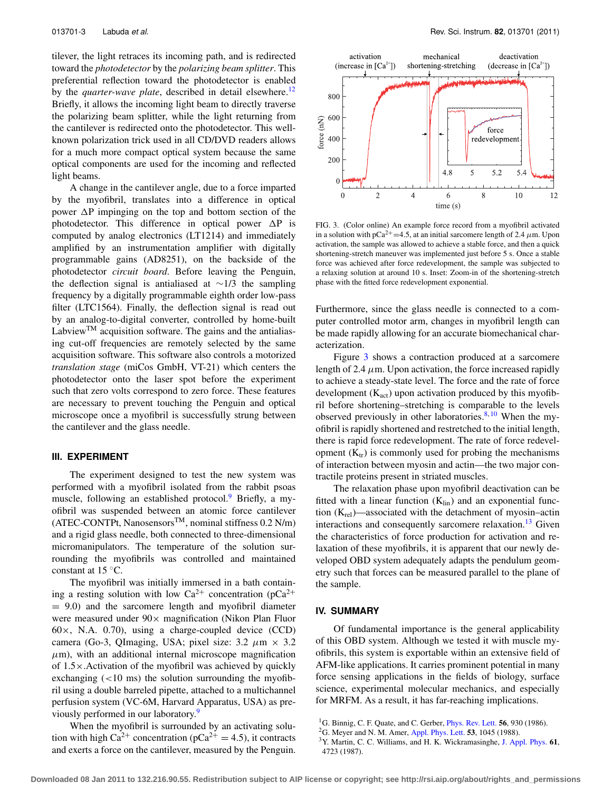tilever, the light retraces its incoming path, and is redirected toward the *photodetector* by the *polarizing beam splitter*. This preferential reflection toward the photodetector is enabled by the *quarter-wave plate*, described in detail elsewhere.<sup>12</sup> Briefly, it allows the incoming light beam to directly traverse the polarizing beam splitter, while the light returning from the cantilever is redirected onto the photodetector. This wellknown polarization trick used in all CD/DVD readers allows for a much more compact optical system because the same optical components are used for the incoming and reflected light beams.

A change in the cantilever angle, due to a force imparted by the myofibril, translates into a difference in optical power  $\Delta P$  impinging on the top and bottom section of the photodetector. This difference in optical power  $\Delta P$  is computed by analog electronics (LT1214) and immediately amplified by an instrumentation amplifier with digitally programmable gains (AD8251), on the backside of the photodetector *circuit board*. Before leaving the Penguin, the deflection signal is antialiased at ∼1/3 the sampling frequency by a digitally programmable eighth order low-pass filter (LTC1564). Finally, the deflection signal is read out by an analog-to-digital converter, controlled by home-built LabviewTM acquisition software. The gains and the antialiasing cut-off frequencies are remotely selected by the same acquisition software. This software also controls a motorized *translation stage* (miCos GmbH, VT-21) which centers the photodetector onto the laser spot before the experiment such that zero volts correspond to zero force. These features are necessary to prevent touching the Penguin and optical microscope once a myofibril is successfully strung between the cantilever and the glass needle.

## **III. EXPERIMENT**

The experiment designed to test the new system was performed with a myofibril isolated from the rabbit psoas muscle, following an established protocol.<sup>9</sup> Briefly, a myofibril was suspended between an atomic force cantilever  $(ATEC-CONTPt, Nanosensors<sup>TM</sup>, nominal stiffness 0.2 N/m)$ and a rigid glass needle, both connected to three-dimensional micromanipulators. The temperature of the solution surrounding the myofibrils was controlled and maintained constant at 15 ◦C.

The myofibril was initially immersed in a bath containing a resting solution with low  $Ca^{2+}$  concentration (pCa<sup>2+</sup>)  $= 9.0$ ) and the sarcomere length and myofibril diameter were measured under  $90 \times$  magnification (Nikon Plan Fluor  $60\times$ , N.A. 0.70), using a charge-coupled device (CCD) camera (Go-3, QImaging, USA; pixel size:  $3.2 \mu m \times 3.2$  $\mu$ m), with an additional internal microscope magnification of 1.5×.Activation of the myofibril was achieved by quickly exchanging  $(<10 \text{ ms})$  the solution surrounding the myofibril using a double barreled pipette, attached to a multichannel perfusion system (VC-6M, Harvard Apparatus, USA) as pre-viously performed in our laboratory.<sup>[9](#page-3-8)</sup>

When the myofibril is surrounded by an activating solution with high  $Ca^{2+}$  concentration ( $pCa^{2+} = 4.5$ ), it contracts and exerts a force on the cantilever, measured by the Penguin.

<span id="page-2-3"></span>

FIG. 3. (Color online) An example force record from a myofibril activated in a solution with pCa<sup>2+</sup>=4.5, at an initial sarcomere length of 2.4  $\mu$ m. Upon activation, the sample was allowed to achieve a stable force, and then a quick shortening-stretch maneuver was implemented just before 5 s. Once a stable force was achieved after force redevelopment, the sample was subjected to a relaxing solution at around 10 s. Inset: Zoom-in of the shortening-stretch phase with the fitted force redevelopment exponential.

Furthermore, since the glass needle is connected to a computer controlled motor arm, changes in myofibril length can be made rapidly allowing for an accurate biomechanical characterization.

Figure [3](#page-2-3) shows a contraction produced at a sarcomere length of 2.4  $\mu$ m. Upon activation, the force increased rapidly to achieve a steady-state level. The force and the rate of force development  $(K_{act})$  upon activation produced by this myofibril before shortening–stretching is comparable to the levels observed previously in other laboratories. $8,10$  $8,10$  When the myofibril is rapidly shortened and restretched to the initial length, there is rapid force redevelopment. The rate of force redevelopment  $(K_{tr})$  is commonly used for probing the mechanisms of interaction between myosin and actin—the two major contractile proteins present in striated muscles.

The relaxation phase upon myofibril deactivation can be fitted with a linear function  $(K_{lin})$  and an exponential function  $(K_{rel})$ —associated with the detachment of myosin–actin interactions and consequently sarcomere relaxation.<sup>[13](#page-3-9)</sup> Given the characteristics of force production for activation and relaxation of these myofibrils, it is apparent that our newly developed OBD system adequately adapts the pendulum geometry such that forces can be measured parallel to the plane of the sample.

### **IV. SUMMARY**

Of fundamental importance is the general applicability of this OBD system. Although we tested it with muscle myofibrils, this system is exportable within an extensive field of AFM-like applications. It carries prominent potential in many force sensing applications in the fields of biology, surface science, experimental molecular mechanics, and especially for MRFM. As a result, it has far-reaching implications.

<span id="page-2-1"></span><span id="page-2-0"></span><sup>1</sup>G. Binnig, C. F. Quate, and C. Gerber, [Phys. Rev. Lett.](http://dx.doi.org/10.1103/PhysRevLett.56.930) **56**, 930 (1986).

<span id="page-2-2"></span><sup>2</sup>G. Meyer and N. M. Amer, [Appl. Phys. Lett.](http://dx.doi.org/10.1063/1.100061) **53**, 1045 (1988).

<sup>3</sup>Y. Martin, C. C. Williams, and H. K. Wickramasinghe, [J. Appl. Phys.](http://dx.doi.org/10.1063/1.338807) **61**, 4723 (1987).